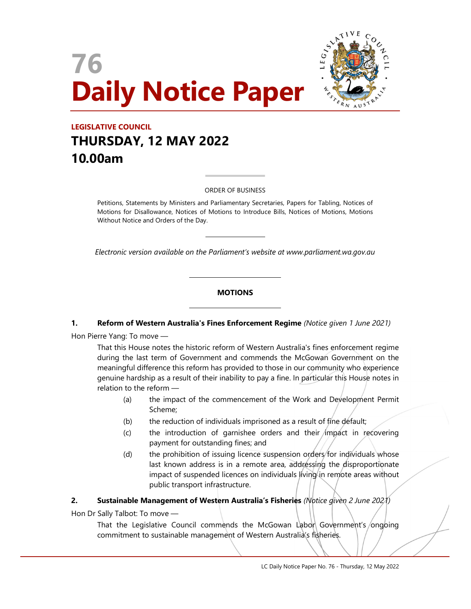



# LEGISLATIVE COUNCIL THURSDAY, 12 MAY 2022 10.00am

#### ORDER OF BUSINESS

 $\overline{a}$ 

 $\overline{\phantom{a}}$ 

L

L

Petitions, Statements by Ministers and Parliamentary Secretaries, Papers for Tabling, Notices of Motions for Disallowance, Notices of Motions to Introduce Bills, Notices of Motions, Motions Without Notice and Orders of the Day.

Electronic version available on the Parliament's website at www.parliament.wa.gov.au

#### **MOTIONS**

#### 1. Reform of Western Australia's Fines Enforcement Regime (Notice given 1 June 2021)

Hon Pierre Yang: To move —

That this House notes the historic reform of Western Australia's fines enforcement regime during the last term of Government and commends the McGowan Government on the meaningful difference this reform has provided to those in our community who experience genuine hardship as a result of their inability to pay a fine. In particular this House notes in relation to the reform —

- (a) the impact of the commencement of the Work and Development Permit Scheme;
- (b) the reduction of individuals imprisoned as a result of fine default;
- $(c)$  the introduction of garnishee orders and their *impact* in recovering payment for outstanding fines; and
- (d) the prohibition of issuing licence suspension orders for individuals whose last known address is in a remote area, addressing the disproportionate impact of suspended licences on individuals living in remote areas without public transport infrastructure.

#### 2. Sustainable Management of Western Australia's Fisheries (Notice given 2 June 2021)

Hon Dr Sally Talbot: To move —

That the Legislative Council commends the McGowan Labor Government's ongoing commitment to sustainable management of Western Australia's fisheries.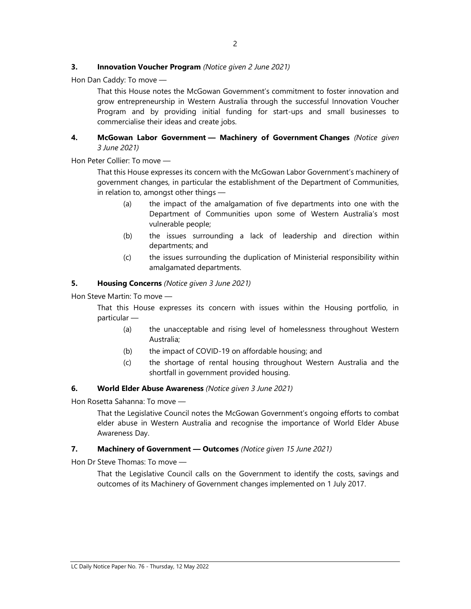## **3.** Innovation Voucher Program (Notice given 2 June 2021)

Hon Dan Caddy: To move —

That this House notes the McGowan Government's commitment to foster innovation and grow entrepreneurship in Western Australia through the successful Innovation Voucher Program and by providing initial funding for start-ups and small businesses to commercialise their ideas and create jobs.

## 4. McGowan Labor Government - Machinery of Government Changes (Notice given 3 June 2021)

Hon Peter Collier: To move —

That this House expresses its concern with the McGowan Labor Government's machinery of government changes, in particular the establishment of the Department of Communities, in relation to, amongst other things —

- (a) the impact of the amalgamation of five departments into one with the Department of Communities upon some of Western Australia's most vulnerable people;
- (b) the issues surrounding a lack of leadership and direction within departments; and
- (c) the issues surrounding the duplication of Ministerial responsibility within amalgamated departments.

## 5. Housing Concerns (Notice given 3 June 2021)

Hon Steve Martin: To move —

That this House expresses its concern with issues within the Housing portfolio, in particular —

- (a) the unacceptable and rising level of homelessness throughout Western Australia;
- (b) the impact of COVID-19 on affordable housing; and
- (c) the shortage of rental housing throughout Western Australia and the shortfall in government provided housing.

## 6. World Elder Abuse Awareness (Notice given 3 June 2021)

Hon Rosetta Sahanna: To move —

That the Legislative Council notes the McGowan Government's ongoing efforts to combat elder abuse in Western Australia and recognise the importance of World Elder Abuse Awareness Day.

## 7. Machinery of Government - Outcomes (Notice given 15 June 2021)

Hon Dr Steve Thomas: To move —

That the Legislative Council calls on the Government to identify the costs, savings and outcomes of its Machinery of Government changes implemented on 1 July 2017.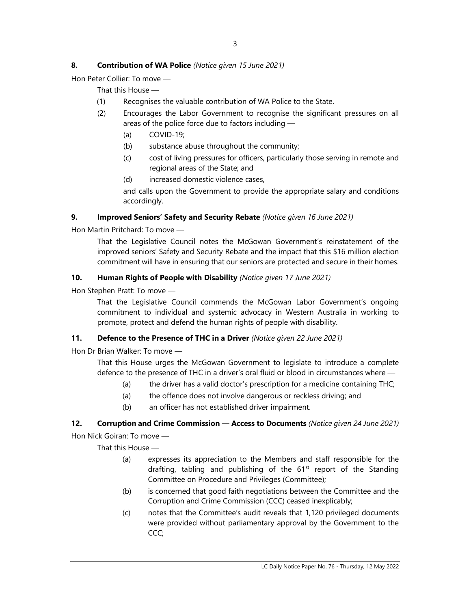# 8. Contribution of WA Police (Notice given 15 June 2021)

Hon Peter Collier: To move —

That this House —

- (1) Recognises the valuable contribution of WA Police to the State.
- (2) Encourages the Labor Government to recognise the significant pressures on all areas of the police force due to factors including —
	- (a) COVID-19;
	- (b) substance abuse throughout the community;
	- (c) cost of living pressures for officers, particularly those serving in remote and regional areas of the State; and
	- (d) increased domestic violence cases,

and calls upon the Government to provide the appropriate salary and conditions accordingly.

## 9. Improved Seniors' Safety and Security Rebate (Notice given 16 June 2021)

Hon Martin Pritchard: To move —

That the Legislative Council notes the McGowan Government's reinstatement of the improved seniors' Safety and Security Rebate and the impact that this \$16 million election commitment will have in ensuring that our seniors are protected and secure in their homes.

## 10. Human Rights of People with Disability (Notice given 17 June 2021)

Hon Stephen Pratt: To move —

That the Legislative Council commends the McGowan Labor Government's ongoing commitment to individual and systemic advocacy in Western Australia in working to promote, protect and defend the human rights of people with disability.

# 11. Defence to the Presence of THC in a Driver (Notice given 22 June 2021)

Hon Dr Brian Walker: To move —

That this House urges the McGowan Government to legislate to introduce a complete defence to the presence of THC in a driver's oral fluid or blood in circumstances where —

- (a) the driver has a valid doctor's prescription for a medicine containing THC;
- (a) the offence does not involve dangerous or reckless driving; and
- (b) an officer has not established driver impairment.

## 12. Corruption and Crime Commission - Access to Documents (Notice given 24 June 2021)

Hon Nick Goiran: To move —

That this House —

- (a) expresses its appreciation to the Members and staff responsible for the drafting, tabling and publishing of the 61<sup>st</sup> report of the Standing Committee on Procedure and Privileges (Committee);
- (b) is concerned that good faith negotiations between the Committee and the Corruption and Crime Commission (CCC) ceased inexplicably;
- (c) notes that the Committee's audit reveals that 1,120 privileged documents were provided without parliamentary approval by the Government to the CCC;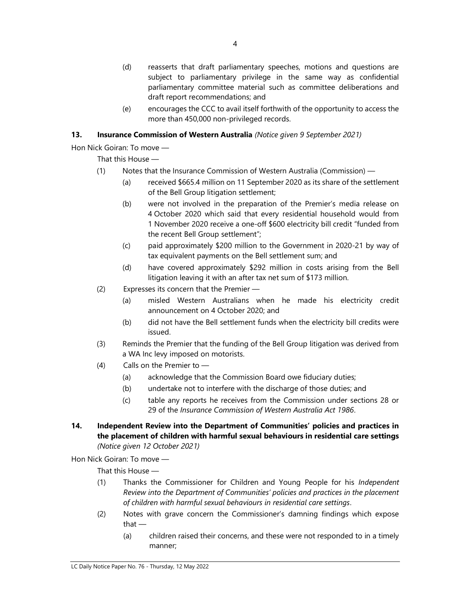- (d) reasserts that draft parliamentary speeches, motions and questions are subject to parliamentary privilege in the same way as confidential parliamentary committee material such as committee deliberations and draft report recommendations; and
- (e) encourages the CCC to avail itself forthwith of the opportunity to access the more than 450,000 non-privileged records.

# 13. Insurance Commission of Western Australia (Notice given 9 September 2021)

Hon Nick Goiran: To move —

That this House —

- (1) Notes that the Insurance Commission of Western Australia (Commission)
	- (a) received \$665.4 million on 11 September 2020 as its share of the settlement of the Bell Group litigation settlement;
	- (b) were not involved in the preparation of the Premier's media release on 4 October 2020 which said that every residential household would from 1 November 2020 receive a one-off \$600 electricity bill credit "funded from the recent Bell Group settlement";
	- (c) paid approximately \$200 million to the Government in 2020-21 by way of tax equivalent payments on the Bell settlement sum; and
	- (d) have covered approximately \$292 million in costs arising from the Bell litigation leaving it with an after tax net sum of \$173 million.
- (2) Expresses its concern that the Premier
	- (a) misled Western Australians when he made his electricity credit announcement on 4 October 2020; and
	- (b) did not have the Bell settlement funds when the electricity bill credits were issued.
- (3) Reminds the Premier that the funding of the Bell Group litigation was derived from a WA Inc levy imposed on motorists.
- (4) Calls on the Premier to
	- (a) acknowledge that the Commission Board owe fiduciary duties;
	- (b) undertake not to interfere with the discharge of those duties; and
	- (c) table any reports he receives from the Commission under sections 28 or 29 of the Insurance Commission of Western Australia Act 1986.
- 14. Independent Review into the Department of Communities' policies and practices in the placement of children with harmful sexual behaviours in residential care settings (Notice given 12 October 2021)

Hon Nick Goiran: To move —

That this House —

- (1) Thanks the Commissioner for Children and Young People for his Independent Review into the Department of Communities' policies and practices in the placement of children with harmful sexual behaviours in residential care settings.
- (2) Notes with grave concern the Commissioner's damning findings which expose that —
	- (a) children raised their concerns, and these were not responded to in a timely manner;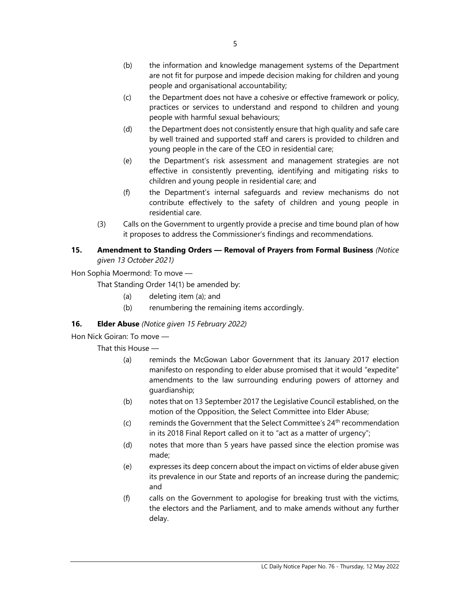- (c) the Department does not have a cohesive or effective framework or policy, practices or services to understand and respond to children and young people with harmful sexual behaviours;
- (d) the Department does not consistently ensure that high quality and safe care by well trained and supported staff and carers is provided to children and young people in the care of the CEO in residential care;
- (e) the Department's risk assessment and management strategies are not effective in consistently preventing, identifying and mitigating risks to children and young people in residential care; and
- (f) the Department's internal safeguards and review mechanisms do not contribute effectively to the safety of children and young people in residential care.
- (3) Calls on the Government to urgently provide a precise and time bound plan of how it proposes to address the Commissioner's findings and recommendations.

# 15. Amendment to Standing Orders - Removal of Prayers from Formal Business (Notice given 13 October 2021)

Hon Sophia Moermond: To move —

That Standing Order 14(1) be amended by:

- (a) deleting item (a); and
- (b) renumbering the remaining items accordingly.

# 16. **Elder Abuse** (Notice given 15 February 2022)

Hon Nick Goiran: To move —

That this House —

- (a) reminds the McGowan Labor Government that its January 2017 election manifesto on responding to elder abuse promised that it would "expedite" amendments to the law surrounding enduring powers of attorney and guardianship;
- (b) notes that on 13 September 2017 the Legislative Council established, on the motion of the Opposition, the Select Committee into Elder Abuse;
- (c) reminds the Government that the Select Committee's  $24<sup>th</sup>$  recommendation in its 2018 Final Report called on it to "act as a matter of urgency";
- (d) notes that more than 5 years have passed since the election promise was made;
- (e) expresses its deep concern about the impact on victims of elder abuse given its prevalence in our State and reports of an increase during the pandemic; and
- (f) calls on the Government to apologise for breaking trust with the victims, the electors and the Parliament, and to make amends without any further delay.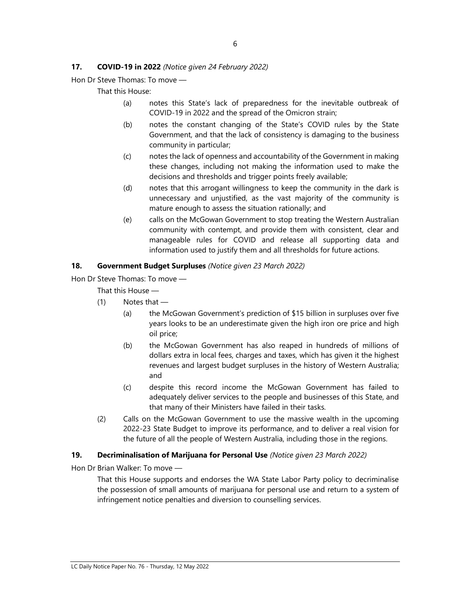## 17. **COVID-19 in 2022** (Notice given 24 February 2022)

Hon Dr Steve Thomas: To move —

That this House:

- (a) notes this State's lack of preparedness for the inevitable outbreak of COVID-19 in 2022 and the spread of the Omicron strain;
- (b) notes the constant changing of the State's COVID rules by the State Government, and that the lack of consistency is damaging to the business community in particular;
- (c) notes the lack of openness and accountability of the Government in making these changes, including not making the information used to make the decisions and thresholds and trigger points freely available;
- (d) notes that this arrogant willingness to keep the community in the dark is unnecessary and unjustified, as the vast majority of the community is mature enough to assess the situation rationally; and
- (e) calls on the McGowan Government to stop treating the Western Australian community with contempt, and provide them with consistent, clear and manageable rules for COVID and release all supporting data and information used to justify them and all thresholds for future actions.

#### 18. Government Budget Surpluses (Notice given 23 March 2022)

Hon Dr Steve Thomas: To move —

That this House —

- (1) Notes that
	- (a) the McGowan Government's prediction of \$15 billion in surpluses over five years looks to be an underestimate given the high iron ore price and high oil price;
	- (b) the McGowan Government has also reaped in hundreds of millions of dollars extra in local fees, charges and taxes, which has given it the highest revenues and largest budget surpluses in the history of Western Australia; and
	- (c) despite this record income the McGowan Government has failed to adequately deliver services to the people and businesses of this State, and that many of their Ministers have failed in their tasks.
- (2) Calls on the McGowan Government to use the massive wealth in the upcoming 2022-23 State Budget to improve its performance, and to deliver a real vision for the future of all the people of Western Australia, including those in the regions.

#### 19. Decriminalisation of Marijuana for Personal Use (Notice given 23 March 2022)

Hon Dr Brian Walker: To move —

That this House supports and endorses the WA State Labor Party policy to decriminalise the possession of small amounts of marijuana for personal use and return to a system of infringement notice penalties and diversion to counselling services.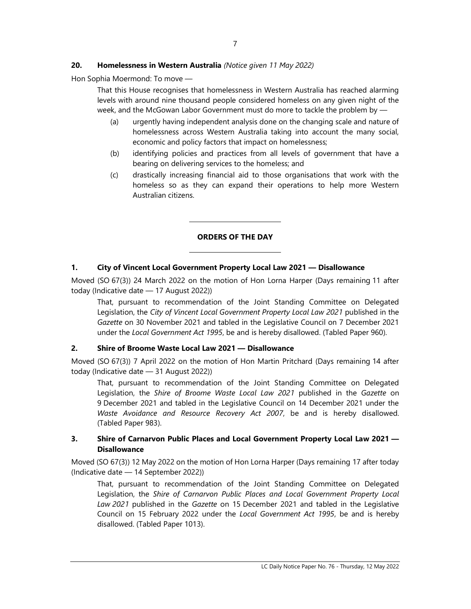# 20. Homelessness in Western Australia (Notice given 11 May 2022)

 $\overline{\phantom{0}}$ 

L

Hon Sophia Moermond: To move —

That this House recognises that homelessness in Western Australia has reached alarming levels with around nine thousand people considered homeless on any given night of the week, and the McGowan Labor Government must do more to tackle the problem by —

- (a) urgently having independent analysis done on the changing scale and nature of homelessness across Western Australia taking into account the many social, economic and policy factors that impact on homelessness;
- (b) identifying policies and practices from all levels of government that have a bearing on delivering services to the homeless; and
- (c) drastically increasing financial aid to those organisations that work with the homeless so as they can expand their operations to help more Western Australian citizens.

## ORDERS OF THE DAY

## 1. City of Vincent Local Government Property Local Law 2021 — Disallowance

Moved (SO 67(3)) 24 March 2022 on the motion of Hon Lorna Harper (Days remaining 11 after today (Indicative date — 17 August 2022))

That, pursuant to recommendation of the Joint Standing Committee on Delegated Legislation, the City of Vincent Local Government Property Local Law 2021 published in the Gazette on 30 November 2021 and tabled in the Legislative Council on 7 December 2021 under the Local Government Act 1995, be and is hereby disallowed. (Tabled Paper 960).

## 2. Shire of Broome Waste Local Law 2021 — Disallowance

Moved (SO 67(3)) 7 April 2022 on the motion of Hon Martin Pritchard (Days remaining 14 after today (Indicative date — 31 August 2022))

That, pursuant to recommendation of the Joint Standing Committee on Delegated Legislation, the Shire of Broome Waste Local Law 2021 published in the Gazette on 9 December 2021 and tabled in the Legislative Council on 14 December 2021 under the Waste Avoidance and Resource Recovery Act 2007, be and is hereby disallowed. (Tabled Paper 983).

## 3. Shire of Carnarvon Public Places and Local Government Property Local Law 2021 — **Disallowance**

Moved (SO 67(3)) 12 May 2022 on the motion of Hon Lorna Harper (Days remaining 17 after today (Indicative date — 14 September 2022))

That, pursuant to recommendation of the Joint Standing Committee on Delegated Legislation, the Shire of Carnarvon Public Places and Local Government Property Local Law 2021 published in the Gazette on 15 December 2021 and tabled in the Legislative Council on 15 February 2022 under the Local Government Act 1995, be and is hereby disallowed. (Tabled Paper 1013).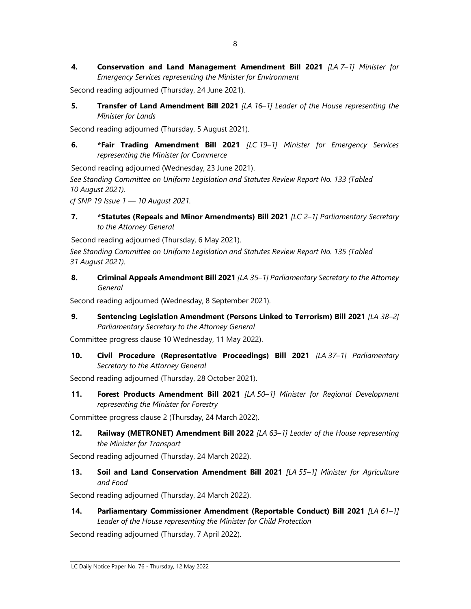4. Conservation and Land Management Amendment Bill 2021 [LA 7-1] Minister for Emergency Services representing the Minister for Environment

Second reading adjourned (Thursday, 24 June 2021).

5. Transfer of Land Amendment Bill 2021 [LA 16-1] Leader of the House representing the Minister for Lands

Second reading adjourned (Thursday, 5 August 2021).

6. \*Fair Trading Amendment Bill 2021 [LC 19–1] Minister for Emergency Services representing the Minister for Commerce

Second reading adjourned (Wednesday, 23 June 2021).

See Standing Committee on Uniform Legislation and Statutes Review Report No. 133 (Tabled 10 August 2021).

cf SNP 19 Issue 1 — 10 August 2021.

7. \* Statutes (Repeals and Minor Amendments) Bill 2021 [LC 2-1] Parliamentary Secretary to the Attorney General

Second reading adjourned (Thursday, 6 May 2021). See Standing Committee on Uniform Legislation and Statutes Review Report No. 135 (Tabled

31 August 2021).

8. Criminal Appeals Amendment Bill 2021 [LA 35-1] Parliamentary Secretary to the Attorney General

Second reading adjourned (Wednesday, 8 September 2021).

9. Sentencing Legislation Amendment (Persons Linked to Terrorism) Bill 2021 [LA 38-2] Parliamentary Secretary to the Attorney General

Committee progress clause 10 Wednesday, 11 May 2022).

10. Civil Procedure (Representative Proceedings) Bill 2021 [LA 37-1] Parliamentary Secretary to the Attorney General

Second reading adjourned (Thursday, 28 October 2021).

11. Forest Products Amendment Bill 2021 [LA 50-1] Minister for Regional Development representing the Minister for Forestry

Committee progress clause 2 (Thursday, 24 March 2022).

12. Railway (METRONET) Amendment Bill 2022 [LA 63-1] Leader of the House representing the Minister for Transport

Second reading adjourned (Thursday, 24 March 2022).

13. Soil and Land Conservation Amendment Bill 2021 [LA 55-1] Minister for Agriculture and Food

Second reading adjourned (Thursday, 24 March 2022).

14. Parliamentary Commissioner Amendment (Reportable Conduct) Bill 2021 [LA 61-1] Leader of the House representing the Minister for Child Protection

Second reading adjourned (Thursday, 7 April 2022).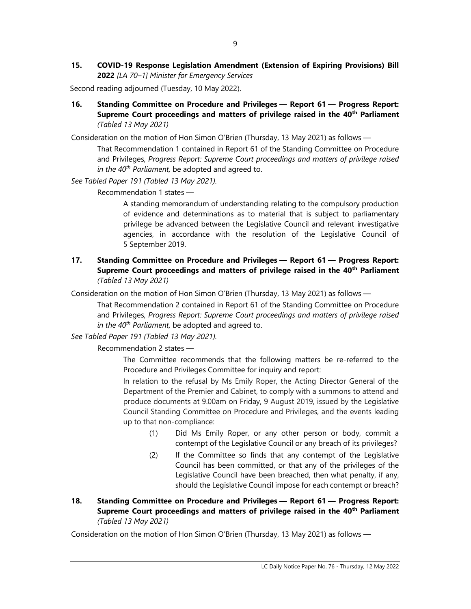15. COVID-19 Response Legislation Amendment (Extension of Expiring Provisions) Bill 2022 [LA 70–1] Minister for Emergency Services

Second reading adjourned (Tuesday, 10 May 2022).

16. Standing Committee on Procedure and Privileges — Report 61 — Progress Report: Supreme Court proceedings and matters of privilege raised in the 40<sup>th</sup> Parliament (Tabled 13 May 2021)

Consideration on the motion of Hon Simon O'Brien (Thursday, 13 May 2021) as follows —

That Recommendation 1 contained in Report 61 of the Standing Committee on Procedure and Privileges, Progress Report: Supreme Court proceedings and matters of privilege raised in the  $40^{th}$  Parliament, be adopted and agreed to.

See Tabled Paper 191 (Tabled 13 May 2021).

Recommendation 1 states —

A standing memorandum of understanding relating to the compulsory production of evidence and determinations as to material that is subject to parliamentary privilege be advanced between the Legislative Council and relevant investigative agencies, in accordance with the resolution of the Legislative Council of 5 September 2019.

17. Standing Committee on Procedure and Privileges — Report 61 — Progress Report: Supreme Court proceedings and matters of privilege raised in the 40<sup>th</sup> Parliament (Tabled 13 May 2021)

Consideration on the motion of Hon Simon O'Brien (Thursday, 13 May 2021) as follows —

That Recommendation 2 contained in Report 61 of the Standing Committee on Procedure and Privileges, Progress Report: Supreme Court proceedings and matters of privilege raised in the  $40^{th}$  Parliament, be adopted and agreed to.

See Tabled Paper 191 (Tabled 13 May 2021).

Recommendation 2 states —

The Committee recommends that the following matters be re-referred to the Procedure and Privileges Committee for inquiry and report:

In relation to the refusal by Ms Emily Roper, the Acting Director General of the Department of the Premier and Cabinet, to comply with a summons to attend and produce documents at 9.00am on Friday, 9 August 2019, issued by the Legislative Council Standing Committee on Procedure and Privileges, and the events leading up to that non-compliance:

- (1) Did Ms Emily Roper, or any other person or body, commit a contempt of the Legislative Council or any breach of its privileges?
- (2) If the Committee so finds that any contempt of the Legislative Council has been committed, or that any of the privileges of the Legislative Council have been breached, then what penalty, if any, should the Legislative Council impose for each contempt or breach?
- 18. Standing Committee on Procedure and Privileges Report 61 Progress Report: Supreme Court proceedings and matters of privilege raised in the 40<sup>th</sup> Parliament (Tabled 13 May 2021)

Consideration on the motion of Hon Simon O'Brien (Thursday, 13 May 2021) as follows —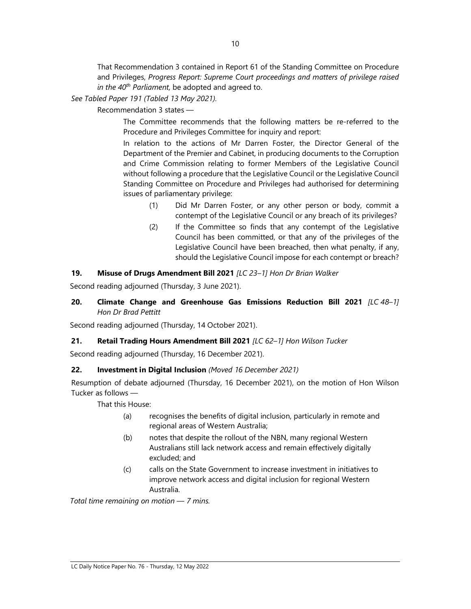That Recommendation 3 contained in Report 61 of the Standing Committee on Procedure and Privileges, Progress Report: Supreme Court proceedings and matters of privilege raised in the  $40^{th}$  Parliament, be adopted and agreed to.

See Tabled Paper 191 (Tabled 13 May 2021).

## Recommendation 3 states —

The Committee recommends that the following matters be re-referred to the Procedure and Privileges Committee for inquiry and report:

In relation to the actions of Mr Darren Foster, the Director General of the Department of the Premier and Cabinet, in producing documents to the Corruption and Crime Commission relating to former Members of the Legislative Council without following a procedure that the Legislative Council or the Legislative Council Standing Committee on Procedure and Privileges had authorised for determining issues of parliamentary privilege:

- (1) Did Mr Darren Foster, or any other person or body, commit a contempt of the Legislative Council or any breach of its privileges?
- (2) If the Committee so finds that any contempt of the Legislative Council has been committed, or that any of the privileges of the Legislative Council have been breached, then what penalty, if any, should the Legislative Council impose for each contempt or breach?

## 19. Misuse of Drugs Amendment Bill 2021 [LC 23-1] Hon Dr Brian Walker

Second reading adjourned (Thursday, 3 June 2021).

## 20. Climate Change and Greenhouse Gas Emissions Reduction Bill 2021  $[LC 48-1]$ Hon Dr Brad Pettitt

Second reading adjourned (Thursday, 14 October 2021).

# 21. Retail Trading Hours Amendment Bill 2021 [LC 62-1] Hon Wilson Tucker

Second reading adjourned (Thursday, 16 December 2021).

# 22. Investment in Digital Inclusion (Moved 16 December 2021)

Resumption of debate adjourned (Thursday, 16 December 2021), on the motion of Hon Wilson Tucker as follows —

That this House:

- (a) recognises the benefits of digital inclusion, particularly in remote and regional areas of Western Australia;
- (b) notes that despite the rollout of the NBN, many regional Western Australians still lack network access and remain effectively digitally excluded; and
- (c) calls on the State Government to increase investment in initiatives to improve network access and digital inclusion for regional Western Australia.

Total time remaining on motion — 7 mins.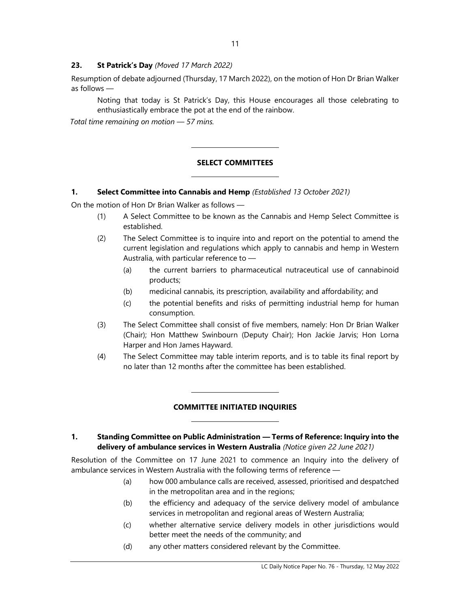## 23. St Patrick's Day (Moved 17 March 2022)

Resumption of debate adjourned (Thursday, 17 March 2022), on the motion of Hon Dr Brian Walker as follows —

Noting that today is St Patrick's Day, this House encourages all those celebrating to enthusiastically embrace the pot at the end of the rainbow.

Total time remaining on motion — 57 mins.

# SELECT COMMITTEES

## 1. Select Committee into Cannabis and Hemp (Established 13 October 2021)

 $\overline{\phantom{a}}$ 

 $\overline{\phantom{a}}$ 

 $\overline{\phantom{a}}$ 

 $\overline{a}$ 

On the motion of Hon Dr Brian Walker as follows —

- (1) A Select Committee to be known as the Cannabis and Hemp Select Committee is established.
- (2) The Select Committee is to inquire into and report on the potential to amend the current legislation and regulations which apply to cannabis and hemp in Western Australia, with particular reference to —
	- (a) the current barriers to pharmaceutical nutraceutical use of cannabinoid products;
	- (b) medicinal cannabis, its prescription, availability and affordability; and
	- (c) the potential benefits and risks of permitting industrial hemp for human consumption.
- (3) The Select Committee shall consist of five members, namely: Hon Dr Brian Walker (Chair); Hon Matthew Swinbourn (Deputy Chair); Hon Jackie Jarvis; Hon Lorna Harper and Hon James Hayward.
- (4) The Select Committee may table interim reports, and is to table its final report by no later than 12 months after the committee has been established.

# COMMITTEE INITIATED INQUIRIES

## 1. Standing Committee on Public Administration — Terms of Reference: Inquiry into the delivery of ambulance services in Western Australia (Notice given 22 June 2021)

Resolution of the Committee on 17 June 2021 to commence an Inquiry into the delivery of ambulance services in Western Australia with the following terms of reference —

- (a) how 000 ambulance calls are received, assessed, prioritised and despatched in the metropolitan area and in the regions;
- (b) the efficiency and adequacy of the service delivery model of ambulance services in metropolitan and regional areas of Western Australia;
- (c) whether alternative service delivery models in other jurisdictions would better meet the needs of the community; and
- (d) any other matters considered relevant by the Committee.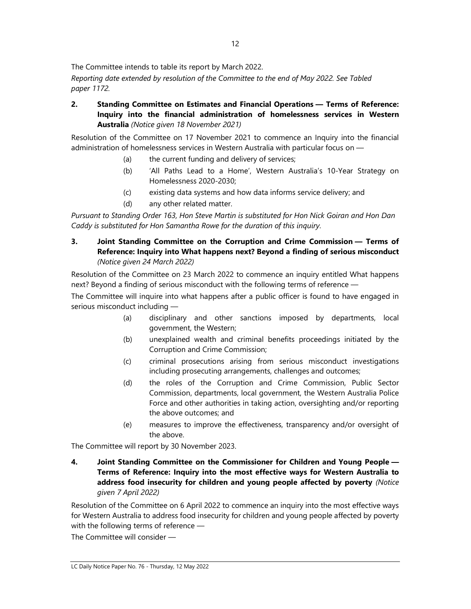The Committee intends to table its report by March 2022.

Reporting date extended by resolution of the Committee to the end of May 2022. See Tabled paper 1172.

2. Standing Committee on Estimates and Financial Operations — Terms of Reference: Inquiry into the financial administration of homelessness services in Western Australia (Notice given 18 November 2021)

Resolution of the Committee on 17 November 2021 to commence an Inquiry into the financial administration of homelessness services in Western Australia with particular focus on —

- (a) the current funding and delivery of services;
- (b) 'All Paths Lead to a Home', Western Australia's 10-Year Strategy on Homelessness 2020-2030;
- (c) existing data systems and how data informs service delivery; and
- (d) any other related matter.

Pursuant to Standing Order 163, Hon Steve Martin is substituted for Hon Nick Goiran and Hon Dan Caddy is substituted for Hon Samantha Rowe for the duration of this inquiry.

3. Joint Standing Committee on the Corruption and Crime Commission — Terms of Reference: Inquiry into What happens next? Beyond a finding of serious misconduct (Notice given 24 March 2022)

Resolution of the Committee on 23 March 2022 to commence an inquiry entitled What happens next? Beyond a finding of serious misconduct with the following terms of reference —

The Committee will inquire into what happens after a public officer is found to have engaged in serious misconduct including —

- (a) disciplinary and other sanctions imposed by departments, local government, the Western;
- (b) unexplained wealth and criminal benefits proceedings initiated by the Corruption and Crime Commission;
- (c) criminal prosecutions arising from serious misconduct investigations including prosecuting arrangements, challenges and outcomes;
- (d) the roles of the Corruption and Crime Commission, Public Sector Commission, departments, local government, the Western Australia Police Force and other authorities in taking action, oversighting and/or reporting the above outcomes; and
- (e) measures to improve the effectiveness, transparency and/or oversight of the above.

The Committee will report by 30 November 2023.

4. Joint Standing Committee on the Commissioner for Children and Young People — Terms of Reference: Inquiry into the most effective ways for Western Australia to address food insecurity for children and young people affected by poverty (Notice given 7 April 2022)

Resolution of the Committee on 6 April 2022 to commence an inquiry into the most effective ways for Western Australia to address food insecurity for children and young people affected by poverty with the following terms of reference —

The Committee will consider —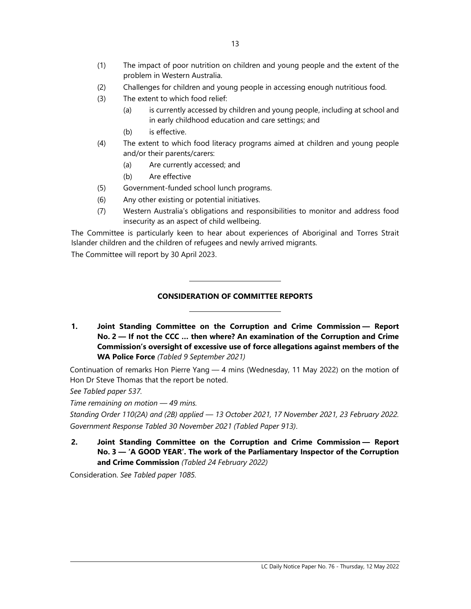- (2) Challenges for children and young people in accessing enough nutritious food.
- (3) The extent to which food relief:
	- (a) is currently accessed by children and young people, including at school and in early childhood education and care settings; and
	- (b) is effective.
- (4) The extent to which food literacy programs aimed at children and young people and/or their parents/carers:
	- (a) Are currently accessed; and
	- (b) Are effective
- (5) Government-funded school lunch programs.

L

L

- (6) Any other existing or potential initiatives.
- (7) Western Australia's obligations and responsibilities to monitor and address food insecurity as an aspect of child wellbeing.

The Committee is particularly keen to hear about experiences of Aboriginal and Torres Strait Islander children and the children of refugees and newly arrived migrants.

The Committee will report by 30 April 2023.

# CONSIDERATION OF COMMITTEE REPORTS

1. Joint Standing Committee on the Corruption and Crime Commission — Report No. 2 — If not the CCC … then where? An examination of the Corruption and Crime Commission's oversight of excessive use of force allegations against members of the WA Police Force (Tabled 9 September 2021)

Continuation of remarks Hon Pierre Yang — 4 mins (Wednesday, 11 May 2022) on the motion of Hon Dr Steve Thomas that the report be noted.

See Tabled paper 537.

Time remaining on motion — 49 mins.

Standing Order 110(2A) and (2B) applied — 13 October 2021, 17 November 2021, 23 February 2022. Government Response Tabled 30 November 2021 (Tabled Paper 913).

2. Joint Standing Committee on the Corruption and Crime Commission — Report No. 3 — 'A GOOD YEAR'. The work of the Parliamentary Inspector of the Corruption and Crime Commission (Tabled 24 February 2022)

Consideration. See Tabled paper 1085.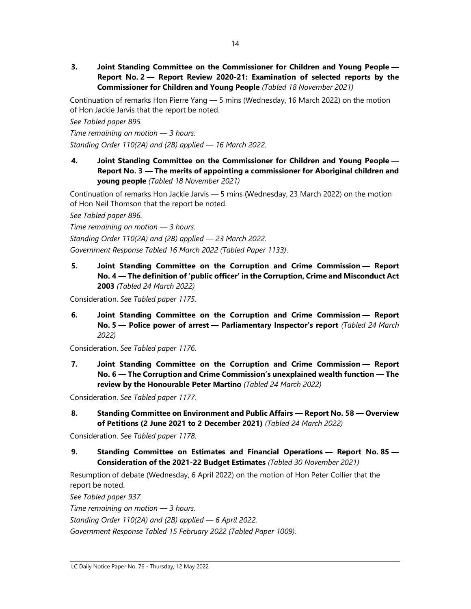3. Joint Standing Committee on the Commissioner for Children and Young People — Report No. 2 — Report Review 2020-21: Examination of selected reports by the Commissioner for Children and Young People (Tabled 18 November 2021)

Continuation of remarks Hon Pierre Yang — 5 mins (Wednesday, 16 March 2022) on the motion of Hon Jackie Jarvis that the report be noted.

See Tabled paper 895.

Time remaining on motion — 3 hours. Standing Order 110(2A) and (2B) applied — 16 March 2022.

4. Joint Standing Committee on the Commissioner for Children and Young People — Report No. 3 — The merits of appointing a commissioner for Aboriginal children and young people (Tabled 18 November 2021)

Continuation of remarks Hon Jackie Jarvis — 5 mins (Wednesday, 23 March 2022) on the motion of Hon Neil Thomson that the report be noted.

See Tabled paper 896.

Time remaining on motion — 3 hours.

Standing Order 110(2A) and (2B) applied — 23 March 2022.

Government Response Tabled 16 March 2022 (Tabled Paper 1133).

5. Joint Standing Committee on the Corruption and Crime Commission — Report No. 4 — The definition of 'public officer' in the Corruption, Crime and Misconduct Act 2003 (Tabled 24 March 2022)

Consideration. See Tabled paper 1175.

6. Joint Standing Committee on the Corruption and Crime Commission — Report No. 5 - Police power of arrest - Parliamentary Inspector's report (Tabled 24 March 2022)

Consideration. See Tabled paper 1176.

7. Joint Standing Committee on the Corruption and Crime Commission — Report No. 6 — The Corruption and Crime Commission's unexplained wealth function — The review by the Honourable Peter Martino (Tabled 24 March 2022)

Consideration. See Tabled paper 1177.

8. Standing Committee on Environment and Public Affairs — Report No. 58 — Overview of Petitions (2 June 2021 to 2 December 2021) (Tabled 24 March 2022)

Consideration. See Tabled paper 1178.

9. Standing Committee on Estimates and Financial Operations — Report No. 85 — Consideration of the 2021-22 Budget Estimates (Tabled 30 November 2021)

Resumption of debate (Wednesday, 6 April 2022) on the motion of Hon Peter Collier that the report be noted.

See Tabled paper 937.

Time remaining on motion  $-$  3 hours.

Standing Order 110(2A) and (2B) applied — 6 April 2022.

Government Response Tabled 15 February 2022 (Tabled Paper 1009).